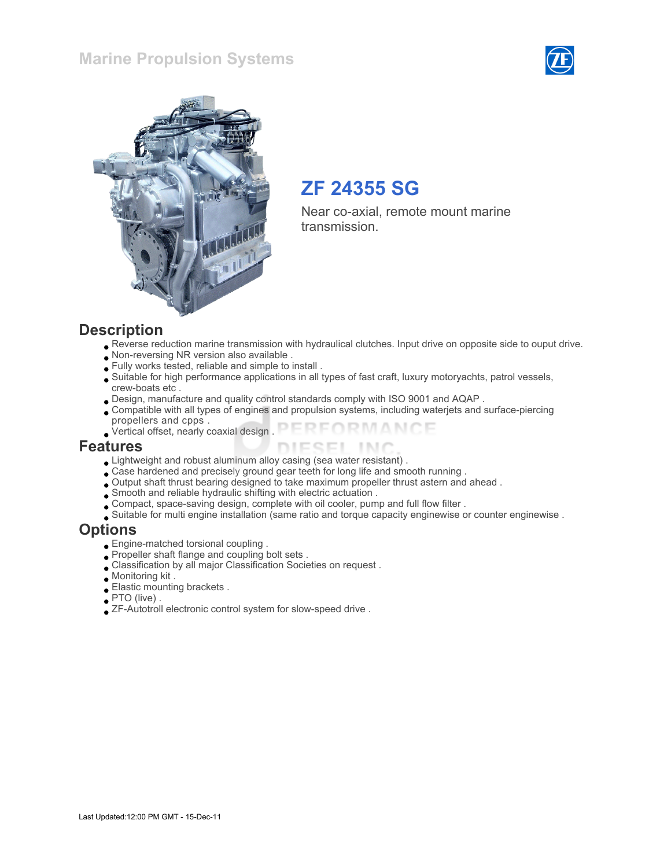### Marine Propulsion Systems





# ZF 24355 SG

Near co-axial, remote mount marine transmission.

#### **Description**

- Reverse reduction marine transmission with hydraulical clutches. Input drive on opposite side to ouput drive.
- Non-reversing NR version also available .
- Fully works tested, reliable and simple to install .
- Suitable for high performance applications in all types of fast craft, luxury motoryachts, patrol vessels, crew-boats etc .
- Design, manufacture and quality control standards comply with ISO 9001 and AQAP .
- Compatible with all types of engines and propulsion systems, including waterjets and surface-piercing propellers and cpps .
- FORMANCE Vertical offset, nearly coaxial design .

#### Features

- Lightweight and robust aluminum alloy casing (sea water resistant) .
- Case hardened and precisely ground gear teeth for long life and smooth running .
- Output shaft thrust bearing designed to take maximum propeller thrust astern and ahead .
- Smooth and reliable hydraulic shifting with electric actuation .
- Compact, space-saving design, complete with oil cooler, pump and full flow filter .
- Suitable for multi engine installation (same ratio and torque capacity enginewise or counter enginewise .

### **Options**

- Engine-matched torsional coupling .
- Propeller shaft flange and coupling bolt sets .
- Classification by all major Classification Societies on request .
- Monitoring kit .
- Elastic mounting brackets .
- PTO (live) .
- ZF-Autotroll electronic control system for slow-speed drive .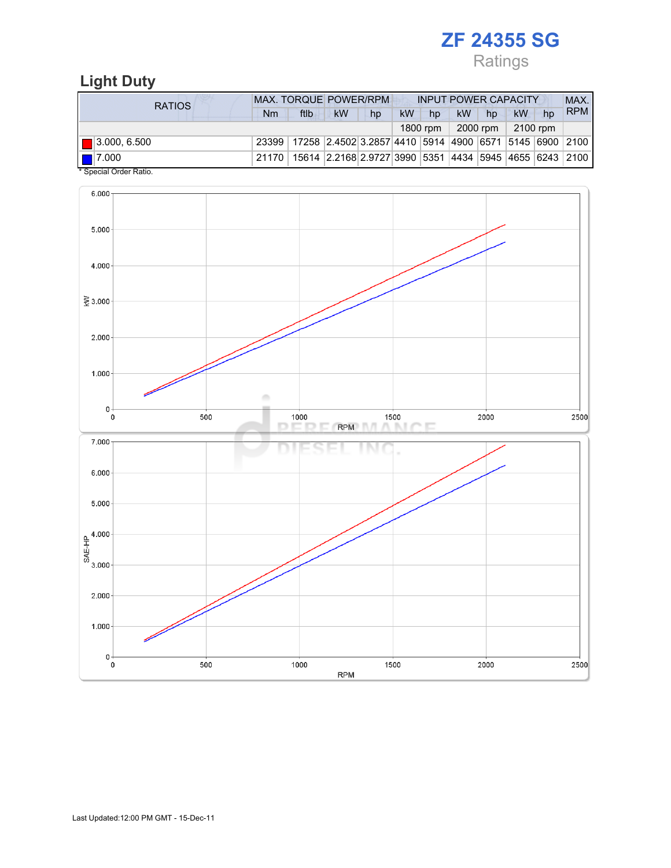# ZF 24355 SG

Ratings

## Light Duty

| RATIOS                        | <b>MAX. TORQUE POWER/RPM</b><br><b>INPUT POWER CAPACITY</b> |                                                              |                                                        |    |           |          |           |          | MAX.     |    |            |
|-------------------------------|-------------------------------------------------------------|--------------------------------------------------------------|--------------------------------------------------------|----|-----------|----------|-----------|----------|----------|----|------------|
|                               | Nm                                                          | ftlb                                                         | <b>kW</b>                                              | hp | <b>kW</b> | hp       | <b>kW</b> | hp       | kW       | hp | <b>RPM</b> |
|                               |                                                             |                                                              |                                                        |    |           | 1800 rpm |           | 2000 rpm | 2100 rpm |    |            |
| $\blacksquare$ 3.000, 6.500   |                                                             | 23399 17258 2.4502 3.2857 4410 5914 4900 6571 5145 6900 2100 |                                                        |    |           |          |           |          |          |    |            |
| 17.000<br>$*$ Consider Detain | 21170                                                       |                                                              | 15614 2.2168 2.9727 3990 5351 4434 5945 4655 6243 2100 |    |           |          |           |          |          |    |            |

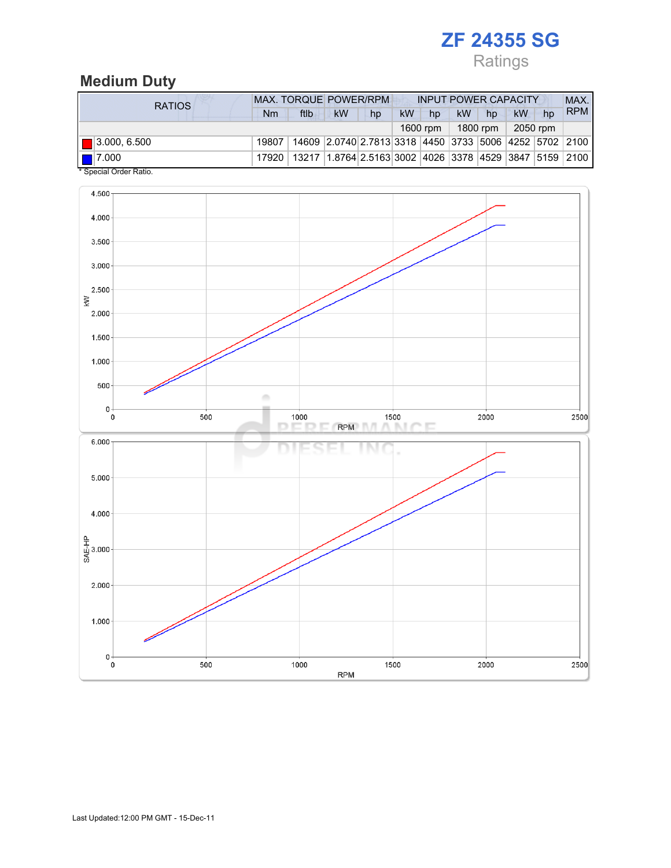# ZF 24355 SG

Ratings

## Medium Duty

| <b>RATIOS</b>                                     | <b>MAX. TORQUE POWER/RPM</b><br><b>INPUT POWER CAPACITY</b> |                                                                          |                                                        |    |           |          |           |          |    | MAX.     |            |
|---------------------------------------------------|-------------------------------------------------------------|--------------------------------------------------------------------------|--------------------------------------------------------|----|-----------|----------|-----------|----------|----|----------|------------|
|                                                   | Nm                                                          | ftlb                                                                     | kW                                                     | hp | <b>kW</b> | hp       | <b>kW</b> | hp       | kW | hp       | <b>RPM</b> |
|                                                   |                                                             |                                                                          |                                                        |    |           | 1600 rpm |           | 1800 rpm |    | 2050 rpm |            |
| $\Box$ 3.000, 6.500                               | 19807                                                       |                                                                          | 14609 2.0740 2.7813 3318 4450 3733 5006 4252 5702 2100 |    |           |          |           |          |    |          |            |
| $\blacksquare$ 7.000<br>$*$ Consider Order Detter | 17920                                                       | 13217   1.8764   2.5163   3002   4026   3378   4529   3847   5159   2100 |                                                        |    |           |          |           |          |    |          |            |

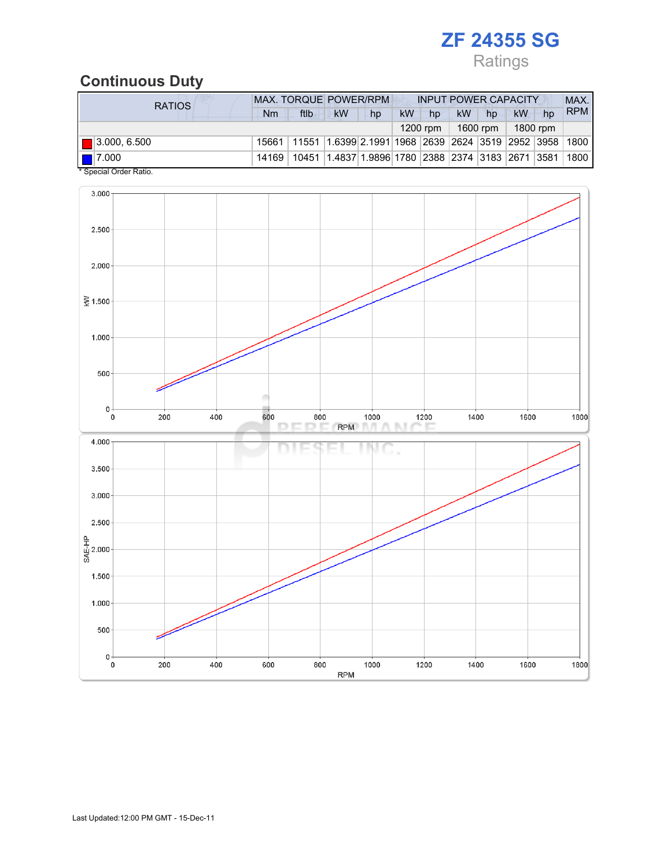# ZF 24355 SG

Ratings

## Continuous Duty

| <b>RATIOS</b>                                     | <b>MAX. TORQUE POWER/RPM</b><br><b>INPUT POWER CAPACITY</b> |                                                                                  |                                                                         |    |           |          |    |          |          | MAX. |            |
|---------------------------------------------------|-------------------------------------------------------------|----------------------------------------------------------------------------------|-------------------------------------------------------------------------|----|-----------|----------|----|----------|----------|------|------------|
|                                                   | Nm                                                          | ftlb                                                                             | <b>kW</b>                                                               | hp | <b>kW</b> | hp       | kW | hp       | kW       | hp   | <b>RPM</b> |
|                                                   |                                                             |                                                                                  |                                                                         |    |           | 1200 rpm |    | 1600 rpm | 1800 rpm |      |            |
| $\blacksquare$ 3.000, 6.500                       |                                                             | 15661   11551   1.6399   2.1991   1968   2639   2624   3519   2952   3958   1800 |                                                                         |    |           |          |    |          |          |      |            |
| $\blacksquare$ 7.000<br>$*$ Consider Order Detter | 14169                                                       |                                                                                  | 10451  1.4837   1.9896   1780   2388   2374   3183   2671   3581   1800 |    |           |          |    |          |          |      |            |

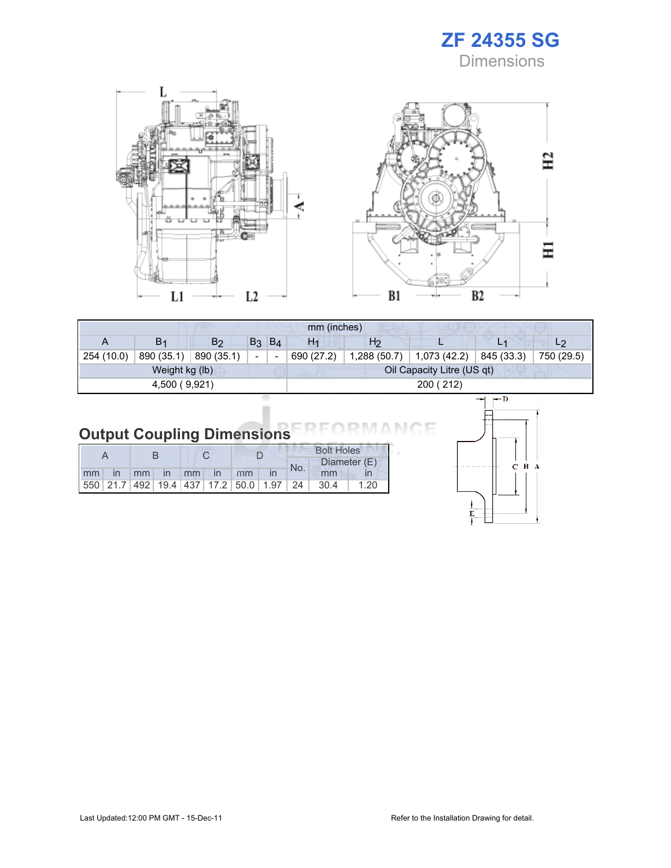





| mm (inches)    |                |                |                          |       |                |                |                            |                |                |  |
|----------------|----------------|----------------|--------------------------|-------|----------------|----------------|----------------------------|----------------|----------------|--|
|                | B <sub>1</sub> | B <sub>2</sub> | B <sub>3</sub>           | $B_4$ | H <sub>1</sub> | H <sub>2</sub> |                            | L <sub>1</sub> | L <sub>2</sub> |  |
| 254 (10.0)     | 890 (35.1)     | 890 (35.1)     | $\overline{\phantom{a}}$ |       | 690 (27.2)     | 1,288 (50.7)   | 1,073 (42.2)               | 845 (33.3)     | 750 (29.5)     |  |
| Weight kg (lb) |                |                |                          |       |                |                | Oil Capacity Litre (US qt) |                |                |  |
| 4,500 (9,921)  |                |                |                          |       | 200 (212)      |                |                            |                |                |  |
|                |                |                |                          |       |                |                |                            |                |                |  |

| <b>Output Coupling Dimensions</b> |  |  |
|-----------------------------------|--|--|

|                   |  |  |  |  |    |  | <b>Bolt Holes</b> |                                                                |              |  |
|-------------------|--|--|--|--|----|--|-------------------|----------------------------------------------------------------|--------------|--|
|                   |  |  |  |  |    |  | No.               |                                                                | Diameter (E) |  |
| mm in mm in mm in |  |  |  |  | mm |  |                   | mm                                                             |              |  |
|                   |  |  |  |  |    |  |                   | 550   21.7   492   19.4   437   17.2   50.0   1.97   24   30.4 | 1.20         |  |